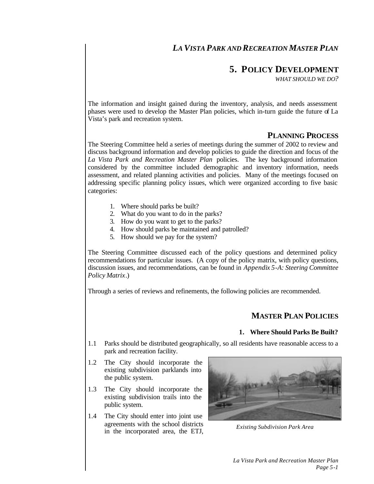# *LA VISTA PARK AND RECREATION MASTER PLAN*

# **5. POLICY DEVELOPMENT**

*WHAT SHOULD WE DO?*

The information and insight gained during the inventory, analysis, and needs assessment phases were used to develop the Master Plan policies, which in-turn guide the future of La Vista's park and recreation system.

# **PLANNING PROCESS**

The Steering Committee held a series of meetings during the summer of 2002 to review and discuss background information and develop policies to guide the direction and focus of the *La Vista Park and Recreation Master Plan* policies. The key background information considered by the committee included demographic and inventory information, needs assessment, and related planning activities and policies. Many of the meetings focused on addressing specific planning policy issues, which were organized according to five basic categories:

- 1. Where should parks be built?
- 2. What do you want to do in the parks?
- 3. How do you want to get to the parks?
- 4. How should parks be maintained and patrolled?
- 5. How should we pay for the system?

The Steering Committee discussed each of the policy questions and determined policy recommendations for particular issues. (A copy of the policy matrix, with policy questions, discussion issues, and recommendations, can be found in *Appendix 5-A: Steering Committee Policy Matrix*.)

Through a series of reviews and refinements, the following policies are recommended.

## **MASTER PLAN POLICIES**

### **1. Where Should Parks Be Built?**

- 1.1 Parks should be distributed geographically, so all residents have reasonable access to a park and recreation facility.
- 1.2 The City should incorporate the existing subdivision parklands into the public system.
- 1.3 The City should incorporate the existing subdivision trails into the public system.
- 1.4 The City should enter into joint use agreements with the school districts in the incorporated area, the ETJ, *Existing Subdivision Park Area*

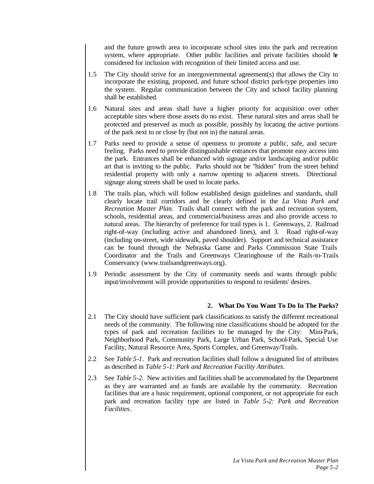and the future growth area to incorporate school sites into the park and recreation system, where appropriate. Other public facilities and private facilities should be considered for inclusion with recognition of their limited access and use.

- 1.5 The City should strive for an intergovernmental agreement(s) that allows the City to incorporate the existing, proposed, and future school district park-type properties into the system. Regular communication between the City and school facility planning shall be established.
- 1.6 Natural sites and areas shall have a higher priority for acquisition over other acceptable sites where those assets do no exist. These natural sites and areas shall be protected and preserved as much as possible, possibly by locating the active portions of the park next to or close by (but not in) the natural areas.
- 1.7 Parks need to provide a sense of openness to promote a public, safe, and secure feeling. Parks need to provide distinguishable entrances that promote easy access into the park. Entrances shall be enhanced with signage and/or landscaping and/or public art that is inviting to the public. Parks should not be "hidden" from the street behind residential property with only a narrow opening to adjacent streets. Directional signage along streets shall be used to locate parks.
- 1.8 The trails plan, which will follow established design guidelines and standards, shall clearly locate trail corridors and be clearly defined in the *La Vista Park and Recreation Master Plan*. Trails shall connect with the park and recreation system, schools, residential areas, and commercial/business areas and also provide access to natural areas. The hierarchy of preference for trail types is 1. Greenways, 2. Railroad right-of-way (including active and abandoned lines), and 3. Road right-of-way (including on-street, wide sidewalk, paved shoulder). Support and technical assistance can be found through the Nebraska Game and Parks Commission State Trails Coordinator and the Trails and Greenways Clearinghouse of the Rails-to-Trails Conservancy (www.trailsandgreenways.org).
- 1.9 Periodic assessment by the City of community needs and wants through public input/involvement will provide opportunities to respond to residents' desires.

## **2. What Do You Want To Do In The Parks?**

- 2.1 The City should have sufficient park classifications to satisfy the different recreational needs of the community. The following nine classifications should be adopted for the types of park and recreation facilities to be managed by the City: Mini-Park, Neighborhood Park, Community Park, Large Urban Park, School-Park, Special Use Facility, Natural Resource Area, Sports Complex, and Greenway/Trails.
- 2.2 See *Table 5-1*. Park and recreation facilities shall follow a designated list of attributes as described in *Table 5-1: Park and Recreation Facility Attributes*.
- 2.3 See *Table 5-2*. New activities and facilities shall be accommodated by the Department as they are warranted and as funds are available by the community. Recreation facilities that are a basic requirement, optional component, or not appropriate for each park and recreation facility type are listed in *Table 5-2: Park and Recreation Facilities*.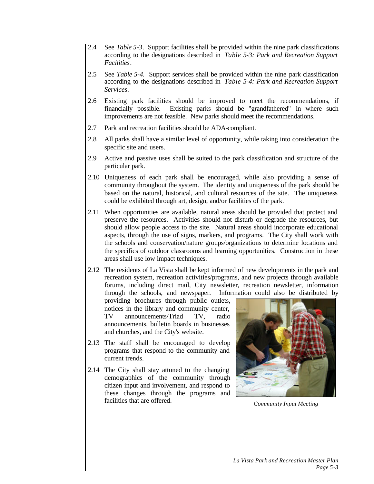- 2.4 See *Table 5-3*. Support facilities shall be provided within the nine park classifications according to the designations described in *Table 5-3: Park and Recreation Support Facilities*.
- 2.5 See *Table 5-4*. Support services shall be provided within the nine park classification according to the designations described in *Table 5-4: Park and Recreation Support Services*.
- 2.6 Existing park facilities should be improved to meet the recommendations, if financially possible. Existing parks should be "grandfathered" in where such improvements are not feasible. New parks should meet the recommendations.
- 2.7 Park and recreation facilities should be ADA-compliant.
- 2.8 All parks shall have a similar level of opportunity, while taking into consideration the specific site and users.
- 2.9 Active and passive uses shall be suited to the park classification and structure of the particular park.
- 2.10 Uniqueness of each park shall be encouraged, while also providing a sense of community throughout the system. The identity and uniqueness of the park should be based on the natural, historical, and cultural resources of the site. The uniqueness could be exhibited through art, design, and/or facilities of the park.
- 2.11 When opportunities are available, natural areas should be provided that protect and preserve the resources. Activities should not disturb or degrade the resources, but should allow people access to the site. Natural areas should incorporate educational aspects, through the use of signs, markers, and programs. The City shall work with the schools and conservation/nature groups/organizations to determine locations and the specifics of outdoor classrooms and learning opportunities. Construction in these areas shall use low impact techniques.
- 2.12 The residents of La Vista shall be kept informed of new developments in the park and recreation system, recreation activities/programs, and new projects through available forums, including direct mail, City newsletter, recreation newsletter, information through the schools, and newspaper. Information could also be distributed by

providing brochures through public outlets, notices in the library and community center, TV announcements/Triad TV, radio announcements, bulletin boards in businesses and churches, and the City's website.

- 2.13 The staff shall be encouraged to develop programs that respond to the community and current trends.
- 2.14 The City shall stay attuned to the changing demographics of the community through citizen input and involvement, and respond to these changes through the programs and facilities that are offered.



**Community Input Meeting**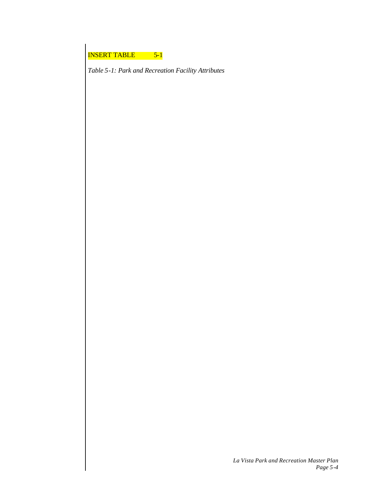*Table 5-1: Park and Recreation Facility Attributes*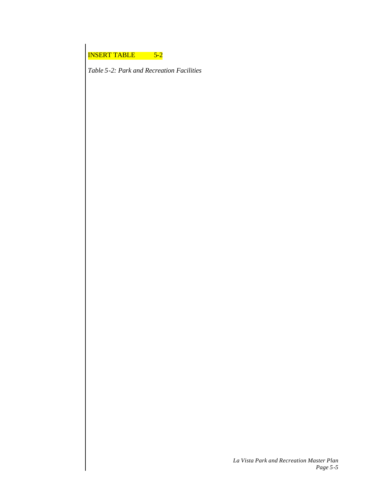*Table 5-2: Park and Recreation Facilities*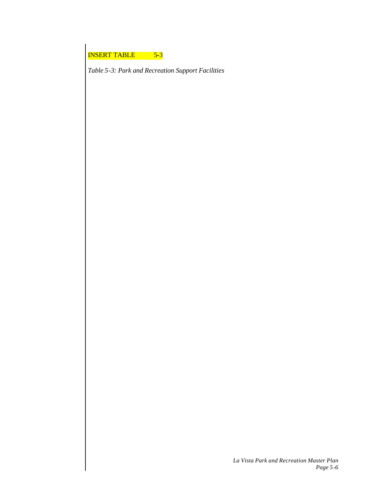*Table 5-3: Park and Recreation Support Facilities*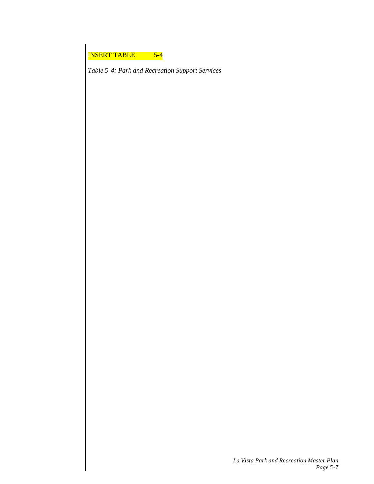*Table 5-4: Park and Recreation Support Services*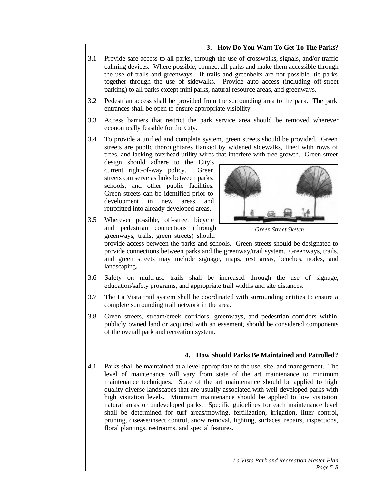### **3. How Do You Want To Get To The Parks?**

- 3.1 Provide safe access to all parks, through the use of crosswalks, signals, and/or traffic calming devices. Where possible, connect all parks and make them accessible through the use of trails and greenways. If trails and greenbelts are not possible, tie parks together through the use of sidewalks. Provide auto access (including off-street parking) to all parks except mini-parks, natural resource areas, and greenways.
- 3.2 Pedestrian access shall be provided from the surrounding area to the park. The park entrances shall be open to ensure appropriate visibility.
- 3.3 Access barriers that restrict the park service area should be removed wherever economically feasible for the City.
- 3.4 To provide a unified and complete system, green streets should be provided. Green streets are public thoroughfares flanked by widened sidewalks, lined with rows of trees, and lacking overhead utility wires that interfere with tree growth. Green street

design should adhere to the City's current right-of-way policy. Green streets can serve as links between parks, schools, and other public facilities. Green streets can be identified prior to development in new areas and retrofitted into already developed areas.

3.5 Wherever possible, off-street bicycle and pedestrian connections (through greenways, trails, green streets) should



*Green Street Sketch*

provide access between the parks and schools. Green streets should be designated to provide connections between parks and the greenway/trail system. Greenways, trails, and green streets may include signage, maps, rest areas, benches, nodes, and landscaping.

- 3.6 Safety on multi-use trails shall be increased through the use of signage, education/safety programs, and appropriate trail widths and site distances.
- 3.7 The La Vista trail system shall be coordinated with surrounding entities to ensure a complete surrounding trail network in the area.
- 3.8 Green streets, stream/creek corridors, greenways, and pedestrian corridors within publicly owned land or acquired with an easement, should be considered components of the overall park and recreation system.

### **4. How Should Parks Be Maintained and Patrolled?**

4.1 Parks shall be maintained at a level appropriate to the use, site, and management. The level of maintenance will vary from state of the art maintenance to minimum maintenance techniques. State of the art maintenance should be applied to high quality diverse landscapes that are usually associated with well-developed parks with high visitation levels. Minimum maintenance should be applied to low visitation natural areas or undeveloped parks. Specific guidelines for each maintenance level shall be determined for turf areas/mowing, fertilization, irrigation, litter control, pruning, disease/insect control, snow removal, lighting, surfaces, repairs, inspections, floral plantings, restrooms, and special features.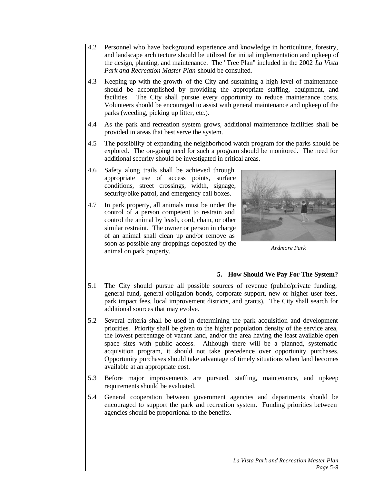- 4.2 Personnel who have background experience and knowledge in horticulture, forestry, and landscape architecture should be utilized for initial implementation and upkeep of the design, planting, and maintenance. The "Tree Plan" included in the 2002 *La Vista Park and Recreation Master Plan* should be consulted.
- 4.3 Keeping up with the growth of the City and sustaining a high level of maintenance should be accomplished by providing the appropriate staffing, equipment, and facilities. The City shall pursue every opportunity to reduce maintenance costs. Volunteers should be encouraged to assist with general maintenance and upkeep of the parks (weeding, picking up litter, etc.).
- 4.4 As the park and recreation system grows, additional maintenance facilities shall be provided in areas that best serve the system.
- 4.5 The possibility of expanding the neighborhood watch program for the parks should be explored. The on-going need for such a program should be monitored. The need for additional security should be investigated in critical areas.
- 4.6 Safety along trails shall be achieved through appropriate use of access points, surface conditions, street crossings, width, signage, security/bike patrol, and emergency call boxes.
- 4.7 In park property, all animals must be under the control of a person competent to restrain and control the animal by leash, cord, chain, or other similar restraint. The owner or person in charge of an animal shall clean up and/or remove as soon as possible any droppings deposited by the animal on park property.



*Ardmore Park*

### **5. How Should We Pay For The System?**

- 5.1 The City should pursue all possible sources of revenue (public/private funding, general fund, general obligation bonds, corporate support, new or higher user fees, park impact fees, local improvement districts, and grants). The City shall search for additional sources that may evolve.
- 5.2 Several criteria shall be used in determining the park acquisition and development priorities. Priority shall be given to the higher population density of the service area, the lowest percentage of vacant land, and/or the area having the least available open space sites with public access. Although there will be a planned, systematic acquisition program, it should not take precedence over opportunity purchases. Opportunity purchases should take advantage of timely situations when land becomes available at an appropriate cost.
- 5.3 Before major improvements are pursued, staffing, maintenance, and upkeep requirements should be evaluated.
- 5.4 General cooperation between government agencies and departments should be encouraged to support the park and recreation system. Funding priorities between agencies should be proportional to the benefits.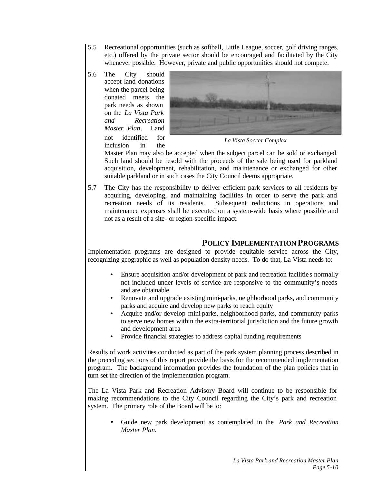- 5.5 Recreational opportunities (such as softball, Little League, soccer, golf driving ranges, etc.) offered by the private sector should be encouraged and facilitated by the City whenever possible. However, private and public opportunities should not compete.
- 5.6 The City should accept land donations when the parcel being donated meets the park needs as shown on the *La Vista Park and Recreation Master Plan*. Land not identified for inclusion in the



*La Vista Soccer Complex*

Master Plan may also be accepted when the subject parcel can be sold or exchanged. Such land should be resold with the proceeds of the sale being used for parkland acquisition, development, rehabilitation, and ma intenance or exchanged for other suitable parkland or in such cases the City Council deems appropriate.

5.7 The City has the responsibility to deliver efficient park services to all residents by acquiring, developing, and maintaining facilities in order to serve the park and recreation needs of its residents. Subsequent reductions in operations and maintenance expenses shall be executed on a system-wide basis where possible and not as a result of a site- or region-specific impact.

# **POLICY IMPLEMENTATION PROGRAMS**

Implementation programs are designed to provide equitable service across the City, recognizing geographic as well as population density needs. To do that, La Vista needs to:

- Ensure acquisition and/or development of park and recreation facilitie s normally not included under levels of service are responsive to the community's needs and are obtainable
- Renovate and upgrade existing mini-parks, neighborhood parks, and community parks and acquire and develop new parks to reach equity
- Acquire and/or develop mini-parks, neighborhood parks, and community parks to serve new homes within the extra-territorial jurisdiction and the future growth and development area
- Provide financial strategies to address capital funding requirements

Results of work activities conducted as part of the park system planning process described in the preceding sections of this report provide the basis for the recommended implementation program. The background information provides the foundation of the plan policies that in turn set the direction of the implementation program.

The La Vista Park and Recreation Advisory Board will continue to be responsible for making recommendations to the City Council regarding the City's park and recreation system. The primary role of the Board will be to:

• Guide new park development as contemplated in the *Park and Recreation Master Plan.*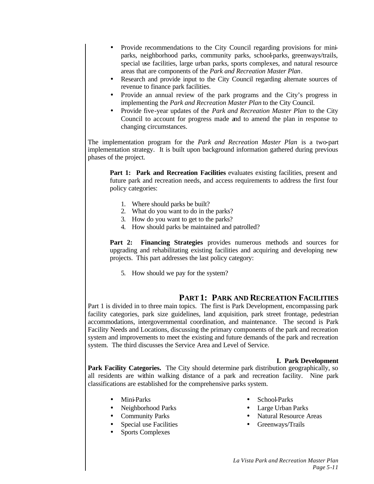- Provide recommendations to the City Council regarding provisions for miniparks, neighborhood parks, community parks, school-parks, greenways/trails, special use facilities, large urban parks, sports complexes, and natural resource areas that are components of the *Park and Recreation Master Plan*.
- Research and provide input to the City Council regarding alternate sources of revenue to finance park facilities.
- Provide an annual review of the park programs and the City's progress in implementing the *Park and Recreation Master Plan* to the City Council.
- Provide five-year updates of the *Park and Recreation Master Plan* to the City Council to account for progress made and to amend the plan in response to changing circumstances.

The implementation program for the *Park and Recreation Master Plan* is a two-part implementation strategy. It is built upon background information gathered during previous phases of the project.

**Part 1: Park and Recreation Facilities** evaluates existing facilities, present and future park and recreation needs, and access requirements to address the first four policy categories:

- 1. Where should parks be built?
- 2. What do you want to do in the parks?
- 3. How do you want to get to the parks?
- 4. How should parks be maintained and patrolled?

**Part 2: Financing Strategies** provides numerous methods and sources for upgrading and rehabilitating existing facilities and acquiring and developing new projects. This part addresses the last policy category:

5. How should we pay for the system?

# **PART 1: PARK AND RECREATION FACILITIES**

Part 1 is divided in to three main topics. The first is Park Development, encompassing park facility categories, park size guidelines, land acquisition, park street frontage, pedestrian accommodations, intergovernmental coordination, and maintenance. The second is Park Facility Needs and Locations, discussing the primary components of the park and recreation system and improvements to meet the existing and future demands of the park and recreation system. The third discusses the Service Area and Level of Service.

### **I. Park Development**

**Park Facility Categories.** The City should determine park distribution geographically, so all residents are within walking distance of a park and recreation facility. Nine park classifications are established for the comprehensive parks system.

- Mini-Parks
- Neighborhood Parks
- Community Parks
- Special use Facilities
- Sports Complexes
- School-Parks
- Large Urban Parks
- Natural Resource Areas
- Greenways/Trails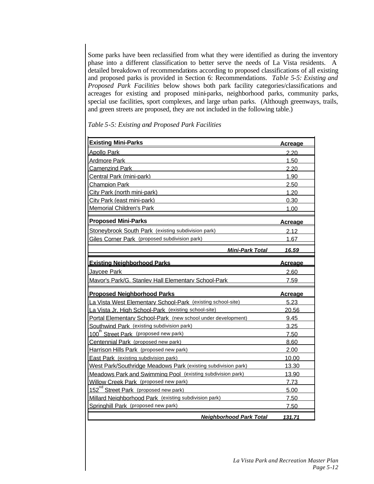Some parks have been reclassified from what they were identified as during the inventory phase into a different classification to better serve the needs of La Vista residents. A detailed breakdown of recommendations according to proposed classifications of all existing and proposed parks is provided in Section 6: Recommendations. *Table 5-5: Existing and Proposed Park Facilities* below shows both park facility categories/classifications and acreages for existing and proposed mini-parks, neighborhood parks, community parks, special use facilities, sport complexes, and large urban parks. (Although greenways, trails, and green streets are proposed, they are not included in the following table.)

| <b>Existing Mini-Parks</b>                                    | <u>Acreage</u> |
|---------------------------------------------------------------|----------------|
| <b>Apollo Park</b>                                            | 2.20           |
| <b>Ardmore Park</b>                                           | 1.50           |
| <b>Camenzind Park</b>                                         | 2.20           |
| Central Park (mini-park)                                      | 1.90           |
| <b>Champion Park</b>                                          | 2.50           |
| City Park (north mini-park)                                   | 1.20           |
| City Park (east mini-park)                                    | 0.30           |
| <b>Memorial Children's Park</b>                               | 1.00           |
| <b>Proposed Mini-Parks</b>                                    | <u>Acreage</u> |
| Stoneybrook South Park (existing subdivision park)            | 2.12           |
| Giles Corner Park (proposed subdivision park)                 | 1.67           |
| <b>Mini-Park Total</b>                                        | 16.59          |
| <b>Existing Neighborhood Parks</b>                            | <u>Acreage</u> |
| Jaycee Park                                                   | 2.60           |
| Mavor's Park/G. Stanlev Hall Elementary School-Park           | 7.59           |
| <b>Proposed Neighborhood Parks</b>                            | <u>Acreage</u> |
| La Vista West Elementary School-Park (existing school-site)   | 5.23           |
| La Vista Jr. High School-Park (existing school-site)          | 20.56          |
| Portal Elementary School-Park (new school under development)  | 9.45           |
| Southwind Park (existing subdivision park)                    | 3.25           |
| 100 <sup>th</sup> Street Park (proposed new park)             | 7.50           |
| Centennial Park (proposed new park)                           | 8.60           |
| Harrison Hills Park (proposed new park)                       | 2.00           |
| East Park (existing subdivision park)                         | 10.00          |
| West Park/Southridge Meadows Park (existing subdivision park) | 13.30          |
| Meadows Park and Swimming Pool (existing subdivision park)    | 13.90          |
| Willow Creek Park (proposed new park)                         | 7.73           |
| 152 <sup>nd</sup> Street Park (proposed new park)             | 5.00           |
| Millard Neighborhood Park (existing subdivision park)         | 7.50           |
| Springhill Park (proposed new park)                           | 7.50           |
| <b>Neighborhood Park Total</b>                                | 131.71         |

*Table 5-5: Existing and Proposed Park Facilities*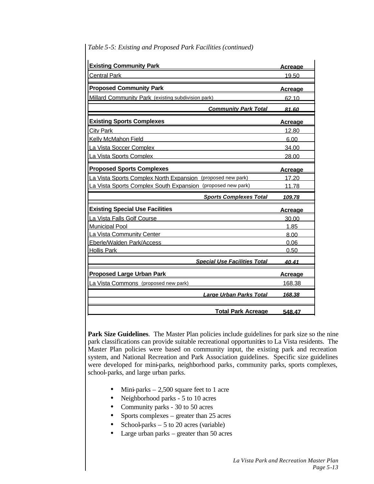| <b>Existing Community Park</b>                              | <u>Acreage</u> |
|-------------------------------------------------------------|----------------|
| <b>Central Park</b>                                         | 19.50          |
| <b>Proposed Community Park</b>                              | <u>Acreage</u> |
| <b>Millard Community Park</b> (existing subdivision park)   | 62.10          |
| <b>Community Park Total</b>                                 | 81.60          |
| <b>Existing Sports Complexes</b>                            | <u>Acreage</u> |
| <b>City Park</b>                                            | 12.80          |
| <b>Kelly McMahon Field</b>                                  | 6.00           |
| La Vista Soccer Complex                                     | 34.00          |
| La Vista Sports Complex                                     | 28.00          |
| <b>Proposed Sports Complexes</b>                            | <u>Acreage</u> |
| La Vista Sports Complex North Expansion (proposed new park) | 17.20          |
| La Vista Sports Complex South Expansion (proposed new park) | 11.78          |
| <b>Sports Complexes Total</b>                               | 109.78         |
| <b>Existing Special Use Facilities</b>                      | <u>Acreage</u> |
| La Vista Falls Golf Course                                  | 30.00          |
| <b>Municipal Pool</b>                                       | 1.85           |
| La Vista Community Center                                   | 8.00           |
| Eberle/Walden Park/Access                                   | 0.06           |
| <b>Hollis Park</b>                                          | 0.50           |
| <b>Special Use Facilities Total</b>                         | 40.41          |
| <b>Proposed Large Urban Park</b>                            | Acreage        |
| La Vista Commons (proposed new park)                        | 168.38         |
| <b>Large Urban Parks Total</b>                              | 168.38         |
|                                                             |                |
| <b>Total Park Acreage</b>                                   | 548.47         |

### *Table 5-5: Existing and Proposed Park Facilities (continued)*

Park Size Guidelines. The Master Plan policies include guidelines for park size so the nine park classifications can provide suitable recreational opportunities to La Vista residents. The Master Plan policies were based on community input, the existing park and recreation system, and National Recreation and Park Association guidelines. Specific size guidelines were developed for mini-parks, neighborhood parks, community parks, sports complexes, school-parks, and large urban parks.

- Mini-parks  $-2,500$  square feet to 1 acre
- Neighborhood parks 5 to 10 acres
- Community parks 30 to 50 acres
- Sports complexes greater than 25 acres
- School-parks  $-5$  to 20 acres (variable)
- Large urban parks greater than 50 acres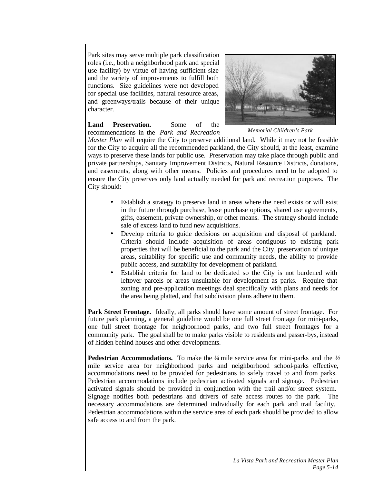Park sites may serve multiple park classification roles (i.e., both a neighborhood park and special use facility) by virtue of having sufficient size and the variety of improvements to fulfill both functions. Size guidelines were not developed for special use facilities, natural resource areas, and greenways/trails because of their unique character.



**Land Preservation.** Some of the recommendations in the *Park and Recreation*

*Memorial Children's Park*

*Master Plan* will require the City to preserve additional land. While it may not be feasible for the City to acquire all the recommended parkland, the City should, at the least, examine ways to preserve these lands for public use. Preservation may take place through public and private partnerships, Sanitary Improvement Districts, Natural Resource Districts, donations, and easements, along with other means. Policies and procedures need to be adopted to ensure the City preserves only land actually needed for park and recreation purposes. The City should:

- Establish a strategy to preserve land in areas where the need exists or will exist in the future through purchase, lease purchase options, shared use agreements, gifts, easement, private ownership, or other means. The strategy should include sale of excess land to fund new acquisitions.
- Develop criteria to guide decisions on acquisition and disposal of parkland. Criteria should include acquisition of areas contiguous to existing park properties that will be beneficial to the park and the City, preservation of unique areas, suitability for specific use and community needs, the ability to provide public access, and suitability for development of parkland.
- Establish criteria for land to be dedicated so the City is not burdened with leftover parcels or areas unsuitable for development as parks. Require that zoning and pre-application meetings deal specifically with plans and needs for the area being platted, and that subdivision plans adhere to them.

**Park Street Frontage.** Ideally, all parks should have some amount of street frontage. For future park planning, a general guideline would be one full street frontage for mini-parks, one full street frontage for neighborhood parks, and two full street frontages for a community park. The goal shall be to make parks visible to residents and passer-bys, instead of hidden behind houses and other developments.

**Pedestrian Accommodations.** To make the ¼ mile service area for mini-parks and the ½ mile service area for neighborhood parks and neighborhood school-parks effective, accommodations need to be provided for pedestrians to safely travel to and from parks. Pedestrian accommodations include pedestrian activated signals and signage. Pedestrian activated signals should be provided in conjunction with the trail and/or street system. Signage notifies both pedestrians and drivers of safe access routes to the park. The necessary accommodations are determined individually for each park and trail facility. Pedestrian accommodations within the servic e area of each park should be provided to allow safe access to and from the park.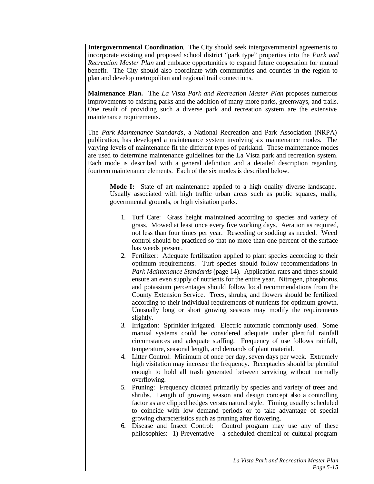**Intergovernmental Coordination**. The City should seek intergovernmental agreements to incorporate existing and proposed school district "park type" properties into the *Park and Recreation Master Plan* and embrace opportunities to expand future cooperation for mutual benefit. The City should also coordinate with communities and counties in the region to plan and develop metropolitan and regional trail connections.

**Maintenance Plan.** The *La Vista Park and Recreation Master Plan* proposes numerous improvements to existing parks and the addition of many more parks, greenways, and trails. One result of providing such a diverse park and recreation system are the extensive maintenance requirements.

The *Park Maintenance Standards*, a National Recreation and Park Association (NRPA) publication, has developed a maintenance system involving six maintenance modes. The varying levels of maintenance fit the different types of parkland. These maintenance modes are used to determine maintenance guidelines for the La Vista park and recreation system. Each mode is described with a general definition and a detailed description regarding fourteen maintenance elements. Each of the six modes is described below.

**Mode I:** State of art maintenance applied to a high quality diverse landscape. Usually associated with high traffic urban areas such as public squares, malls, governmental grounds, or high visitation parks.

- 1. Turf Care: Grass height ma intained according to species and variety of grass. Mowed at least once every five working days. Aeration as required, not less than four times per year. Reseeding or sodding as needed. Weed control should be practiced so that no more than one percent of the surface has weeds present.
- 2. Fertilizer: Adequate fertilization applied to plant species according to their optimum requirements. Turf species should follow recommendations in *Park Maintenance Standards* (page 14). Application rates and times should ensure an even supply of nutrients for the entire year. Nitrogen, phosphorus, and potassium percentages should follow local recommendations from the County Extension Service. Trees, shrubs, and flowers should be fertilized according to their individual requirements of nutrients for optimum growth. Unusually long or short growing seasons may modify the requirements slightly.
- 3. Irrigation: Sprinkler irrigated. Electric automatic commonly used. Some manual systems could be considered adequate under plentiful rainfall circumstances and adequate staffing. Frequency of use follows rainfall, temperature, seasonal length, and demands of plant material.
- 4. Litter Control: Minimum of once per day, seven days per week. Extremely high visitation may increase the frequency. Receptacles should be plentiful enough to hold all trash generated between servicing without normally overflowing.
- 5. Pruning: Frequency dictated primarily by species and variety of trees and shrubs. Length of growing season and design concept also a controlling factor as are clipped hedges versus natural style. Timing usually scheduled to coincide with low demand periods or to take advantage of special growing characteristics such as pruning after flowering.
- 6. Disease and Insect Control: Control program may use any of these philosophies: 1) Preventative - a scheduled chemical or cultural program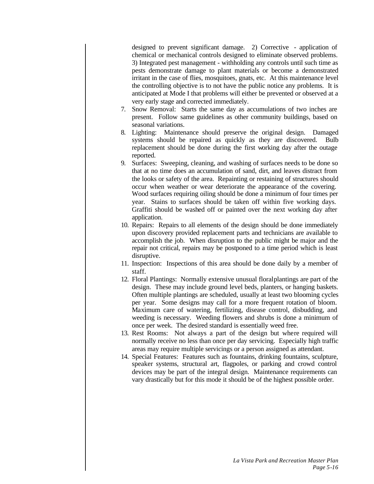designed to prevent significant damage. 2) Corrective - application of chemical or mechanical controls designed to eliminate observed problems. 3) Integrated pest management - withholding any controls until such time as pests demonstrate damage to plant materials or become a demonstrated irritant in the case of flies, mosquitoes, gnats, etc. At this maintenance level the controlling objective is to not have the public notice any problems. It is anticipated at Mode I that problems will either be prevented or observed at a very early stage and corrected immediately.

- 7. Snow Removal: Starts the same day as accumulations of two inches are present. Follow same guidelines as other community buildings, based on seasonal variations.
- 8. Lighting: Maintenance should preserve the original design. Damaged systems should be repaired as quickly as they are discovered. Bulb replacement should be done during the first working day after the outage reported.
- 9. Surfaces: Sweeping, cleaning, and washing of surfaces needs to be done so that at no time does an accumulation of sand, dirt, and leaves distract from the looks or safety of the area. Repainting or restaining of structures should occur when weather or wear deteriorate the appearance of the covering. Wood surfaces requiring oiling should be done a minimum of four times per year. Stains to surfaces should be taken off within five working days. Graffiti should be washed off or painted over the next working day after application.
- 10. Repairs: Repairs to all elements of the design should be done immediately upon discovery provided replacement parts and technicians are available to accomplish the job. When disruption to the public might be major and the repair not critical, repairs may be postponed to a time period which is least disruptive.
- 11. Inspection: Inspections of this area should be done daily by a member of staff.
- 12. Floral Plantings: Normally extensive unusual floral plantings are part of the design. These may include ground level beds, planters, or hanging baskets. Often multiple plantings are scheduled, usually at least two blooming cycles per year. Some designs may call for a more frequent rotation of bloom. Maximum care of watering, fertilizing, disease control, disbudding, and weeding is necessary. Weeding flowers and shrubs is done a minimum of once per week. The desired standard is essentially weed free.
- 13. Rest Rooms: Not always a part of the design but where required will normally receive no less than once per day servicing. Especially high traffic areas may require multiple servicings or a person assigned as attendant.
- 14. Special Features: Features such as fountains, drinking fountains, sculpture, speaker systems, structural art, flagpoles, or parking and crowd control devices may be part of the integral design. Maintenance requirements can vary drastically but for this mode it should be of the highest possible order.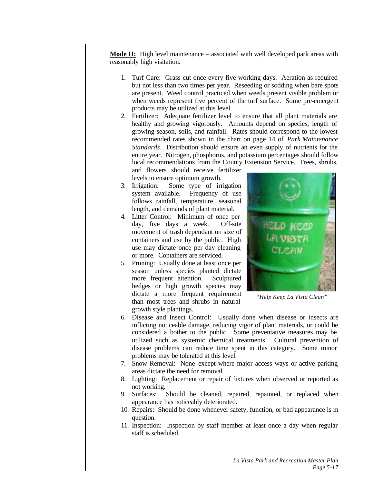**Mode II:** High level maintenance – associated with well developed park areas with reasonably high visitation.

- 1. Turf Care: Grass cut once every five working days. Aeration as required but not less than two times per year. Reseeding or sodding when bare spots are present. Weed control practiced when weeds present visible problem or when weeds represent five percent of the turf surface. Some pre-emergent products may be utilized at this level.
- 2. Fertilizer: Adequate fertilizer level to ensure that all plant materials are healthy and growing vigorously. Amounts depend on species, length of growing season, soils, and rainfall. Rates should correspond to the lowest recommended rates shown in the chart on page 14 of *Park Maintenance Standards*. Distribution should ensure an even supply of nutrients for the entire year. Nitrogen, phosphorus, and potassium percentages should follow local recommendations from the County Extension Service. Trees, shrubs,

and flowers should receive fertilizer levels to ensure optimum growth.

- 3. Irrigation: Some type of irrigation system available. Frequency of use follows rainfall, temperature, seasonal length, and demands of plant material.
- 4. Litter Control: Minimum of once per day, five days a week. Off-site movement of trash dependant on size of containers and use by the public. High use may dictate once per day cleaning or more. Containers are serviced.
- 5. Pruning: Usually done at least once per season unless species planted dictate more frequent attention. Sculptured hedges or high growth species may dictate a more frequent requirement than most trees and shrubs in natural growth style plantings.



*"Help Keep La Vista Clean"*

- 6. Disease and Insect Control: Usually done when disease or insects are inflicting noticeable damage, reducing vigor of plant materials, or could be considered a bother to the public. Some preventative measures may be utilized such as systemic chemical treatments. Cultural prevention of disease problems can reduce time spent in this category. Some minor problems may be tolerated at this level.
- 7. Snow Removal: None except where major access ways or active parking areas dictate the need for removal.
- 8. Lighting: Replacement or repair of fixtures when observed or reported as not working.
- 9. Surfaces: Should be cleaned, repaired, repainted, or replaced when appearance has noticeably deteriorated.
- 10. Repairs: Should be done whenever safety, function, or bad appearance is in question.
- 11. Inspection: Inspection by staff member at least once a day when regular staff is scheduled.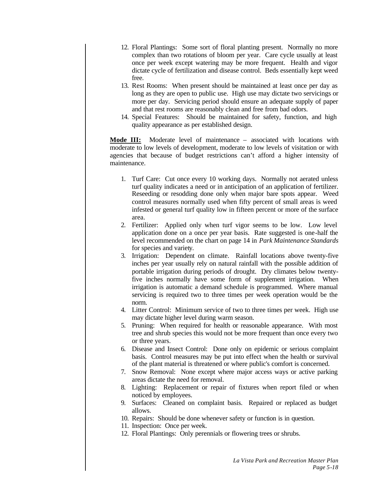- 12. Floral Plantings: Some sort of floral planting present. Normally no more complex than two rotations of bloom per year. Care cycle usually at least once per week except watering may be more frequent. Health and vigor dictate cycle of fertilization and disease control. Beds essentially kept weed free.
- 13. Rest Rooms: When present should be maintained at least once per day as long as they are open to public use. High use may dictate two servicings or more per day. Servicing period should ensure an adequate supply of paper and that rest rooms are reasonably clean and free from bad odors.
- 14. Special Features: Should be maintained for safety, function, and high quality appearance as per established design.

**Mode III:** Moderate level of maintenance – associated with locations with moderate to low levels of development, moderate to low levels of visitation or with agencies that because of budget restrictions can't afford a higher intensity of maintenance.

- 1. Turf Care: Cut once every 10 working days. Normally not aerated unless turf quality indicates a need or in anticipation of an application of fertilizer. Reseeding or resodding done only when major bare spots appear. Weed control measures normally used when fifty percent of small areas is weed infested or general turf quality low in fifteen percent or more of the surface area.
- 2. Fertilizer: Applied only when turf vigor seems to be low. Low level application done on a once per year basis. Rate suggested is one-half the level recommended on the chart on page 14 in *Park Maintenance Standards* for species and variety.
- 3. Irrigation: Dependent on climate. Rainfall locations above twenty-five inches per year usually rely on natural rainfall with the possible addition of portable irrigation during periods of drought. Dry climates below twentyfive inches normally have some form of supplement irrigation. When irrigation is automatic a demand schedule is programmed. Where manual servicing is required two to three times per week operation would be the norm.
- 4. Litter Control: Minimum service of two to three times per week. High use may dictate higher level during warm season.
- 5. Pruning: When required for health or reasonable appearance. With most tree and shrub species this would not be more frequent than once every two or three years.
- 6. Disease and Insect Control: Done only on epidemic or serious complaint basis. Control measures may be put into effect when the health or survival of the plant material is threatened or where public's comfort is concerned.
- 7. Snow Removal: None except where major access ways or active parking areas dictate the need for removal.
- 8. Lighting: Replacement or repair of fixtures when report filed or when noticed by employees.
- 9. Surfaces: Cleaned on complaint basis. Repaired or replaced as budget allows.
- 10. Repairs: Should be done whenever safety or function is in question.
- 11. Inspection: Once per week.
- 12. Floral Plantings: Only perennials or flowering trees or shrubs.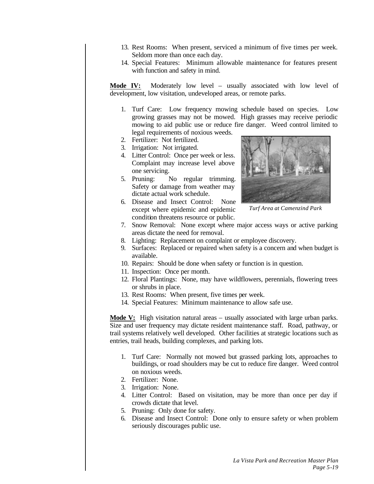- 13. Rest Rooms: When present, serviced a minimum of five times per week. Seldom more than once each day.
- 14. Special Features: Minimum allowable maintenance for features present with function and safety in mind.

**Mode IV:** Moderately low level – usually associated with low level of development, low visitation, undeveloped areas, or remote parks.

- 1. Turf Care: Low frequency mowing schedule based on species. Low growing grasses may not be mowed. High grasses may receive periodic mowing to aid public use or reduce fire danger. Weed control limited to legal requirements of noxious weeds.
- 2. Fertilizer: Not fertilized.
- 3. Irrigation: Not irrigated.
- 4. Litter Control: Once per week or less. Complaint may increase level above one servicing.
- 5. Pruning: No regular trimming. Safety or damage from weather may dictate actual work schedule.
- 6. Disease and Insect Control: None except where epidemic and epidemic condition threatens resource or public.



*Turf Area at Camenzind Park*

- 7. Snow Removal: None except where major access ways or active parking areas dictate the need for removal.
- 8. Lighting: Replacement on complaint or employee discovery.
- 9. Surfaces: Replaced or repaired when safety is a concern and when budget is available.
- 10. Repairs: Should be done when safety or function is in question.
- 11. Inspection: Once per month.
- 12. Floral Plantings: None, may have wildflowers, perennials, flowering trees or shrubs in place.
- 13. Rest Rooms: When present, five times per week.
- 14. Special Features: Minimum maintenance to allow safe use.

**Mode V:** High visitation natural areas – usually associated with large urban parks. Size and user frequency may dictate resident maintenance staff. Road, pathway, or trail systems relatively well developed. Other facilities at strategic locations such as entries, trail heads, building complexes, and parking lots.

- 1. Turf Care: Normally not mowed but grassed parking lots, approaches to buildings, or road shoulders may be cut to reduce fire danger. Weed control on noxious weeds.
- 2. Fertilizer: None.
- 3. Irrigation: None.
- 4. Litter Control: Based on visitation, may be more than once per day if crowds dictate that level.
- 5. Pruning: Only done for safety.
- 6. Disease and Insect Control: Done only to ensure safety or when problem seriously discourages public use.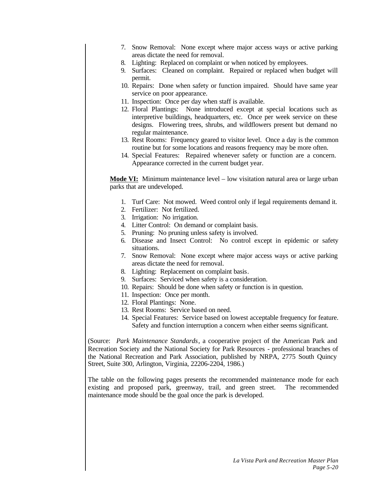- 7. Snow Removal: None except where major access ways or active parking areas dictate the need for removal.
- 8. Lighting: Replaced on complaint or when noticed by employees.
- 9. Surfaces: Cleaned on complaint. Repaired or replaced when budget will permit.
- 10. Repairs: Done when safety or function impaired. Should have same year service on poor appearance.
- 11. Inspection: Once per day when staff is available.
- 12. Floral Plantings: None introduced except at special locations such as interpretive buildings, headquarters, etc. Once per week service on these designs. Flowering trees, shrubs, and wildflowers present but demand no regular maintenance.
- 13. Rest Rooms: Frequency geared to visitor level. Once a day is the common routine but for some locations and reasons frequency may be more often.
- 14. Special Features: Repaired whenever safety or function are a concern. Appearance corrected in the current budget year.

**Mode VI:** Minimum maintenance level – low visitation natural area or large urban parks that are undeveloped.

- 1. Turf Care: Not mowed. Weed control only if legal requirements demand it.
- 2. Fertilizer: Not fertilized.
- 3. Irrigation: No irrigation.
- 4. Litter Control: On demand or complaint basis.
- 5. Pruning: No pruning unless safety is involved.
- 6. Disease and Insect Control: No control except in epidemic or safety situations.
- 7. Snow Removal: None except where major access ways or active parking areas dictate the need for removal.
- 8. Lighting: Replacement on complaint basis.
- 9. Surfaces: Serviced when safety is a consideration.
- 10. Repairs: Should be done when safety or function is in question.
- 11. Inspection: Once per month.
- 12. Floral Plantings: None.
- 13. Rest Rooms: Service based on need.
- 14. Special Features: Service based on lowest acceptable frequency for feature. Safety and function interruption a concern when either seems significant.

(Source: *Park Maintenance Standards*, a cooperative project of the American Park and Recreation Society and the National Society for Park Resources - professional branches of the National Recreation and Park Association, published by NRPA, 2775 South Quincy Street, Suite 300, Arlington, Virginia, 22206-2204, 1986.)

The table on the following pages presents the recommended maintenance mode for each existing and proposed park, greenway, trail, and green street. The recommended maintenance mode should be the goal once the park is developed.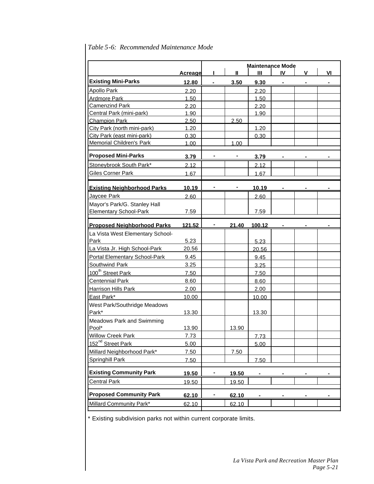|                                    |                | <b>Maintenance Mode</b> |       |        |    |   |    |
|------------------------------------|----------------|-------------------------|-------|--------|----|---|----|
|                                    | <b>Acreage</b> | Ш<br>$\mathbf{I}$       |       |        | IV | ۷ | VI |
| <b>Existing Mini-Parks</b>         | 12.80          |                         | 3.50  | 9.30   |    |   |    |
| <b>Apollo Park</b>                 | 2.20           |                         |       | 2.20   |    |   |    |
| <b>Ardmore Park</b>                | 1.50           |                         |       | 1.50   |    |   |    |
| <b>Camenzind Park</b>              | 2.20           |                         |       | 2.20   |    |   |    |
| Central Park (mini-park)           | 1.90           |                         |       | 1.90   |    |   |    |
| <b>Champion Park</b>               | 2.50           |                         | 2.50  |        |    |   |    |
| City Park (north mini-park)        | 1.20           |                         |       | 1.20   |    |   |    |
| City Park (east mini-park)         | 0.30           |                         |       | 0.30   |    |   |    |
| Memorial Children's Park           | 1.00           |                         | 1.00  |        |    |   |    |
| <b>Proposed Mini-Parks</b>         | 3.79           |                         |       | 3.79   |    |   |    |
| Stoneybrook South Park*            | 2.12           |                         |       | 2.12   |    |   |    |
| <b>Giles Corner Park</b>           | 1.67           |                         |       | 1.67   |    |   |    |
| <b>Existing Neighborhood Parks</b> | <u>10.19</u>   |                         |       | 10.19  |    |   |    |
| Jaycee Park                        | 2.60           |                         |       | 2.60   |    |   |    |
| Mayor's Park/G. Stanley Hall       |                |                         |       |        |    |   |    |
| <b>Elementary School-Park</b>      | 7.59           |                         |       | 7.59   |    |   |    |
| <b>Proposed Neighborhood Parks</b> | 121.52         |                         | 21.40 | 100.12 |    |   |    |
| La Vista West Elementary School-   |                |                         |       |        |    |   |    |
| Park                               | 5.23           |                         |       | 5.23   |    |   |    |
| La Vista Jr. High School-Park      | 20.56          |                         |       | 20.56  |    |   |    |
| Portal Elementary School-Park      | 9.45           |                         |       | 9.45   |    |   |    |
| Southwind Park                     | 3.25           |                         |       | 3.25   |    |   |    |
| 100 <sup>th</sup> Street Park      | 7.50           |                         |       | 7.50   |    |   |    |
| <b>Centennial Park</b>             | 8.60           |                         |       | 8.60   |    |   |    |
| Harrison Hills Park                | 2.00           |                         |       | 2.00   |    |   |    |
| East Park*                         | 10.00          |                         |       | 10.00  |    |   |    |
| West Park/Southridge Meadows       |                |                         |       |        |    |   |    |
| Park*                              | 13.30          |                         |       | 13.30  |    |   |    |
| <b>Meadows Park and Swimming</b>   |                |                         |       |        |    |   |    |
| Pool*                              | 13.90          |                         | 13.90 |        |    |   |    |
| <b>Willow Creek Park</b>           | <u>7.73</u>    |                         |       | 7.73   |    |   |    |
| 152 <sup>nd</sup> Street Park      | 5.00           |                         |       | 5.00   |    |   |    |
| Millard Neighborhood Park*         | 7.50           |                         | 7.50  |        |    |   |    |
| Springhill Park                    | 7.50           |                         |       | 7.50   |    |   |    |
| <b>Existing Community Park</b>     | 19.50          | ۰                       | 19.50 |        |    |   |    |
| <b>Central Park</b>                | 19.50          |                         | 19.50 |        |    |   |    |
| <b>Proposed Community Park</b>     | 62.10          | ۰                       | 62.10 |        |    |   |    |
| Millard Community Park*            | 62.10          |                         | 62.10 |        |    |   |    |
|                                    |                |                         |       |        |    |   |    |

# *Table 5-6: Recommended Maintenance Mode*

\* Existing subdivision parks not within current corporate limits.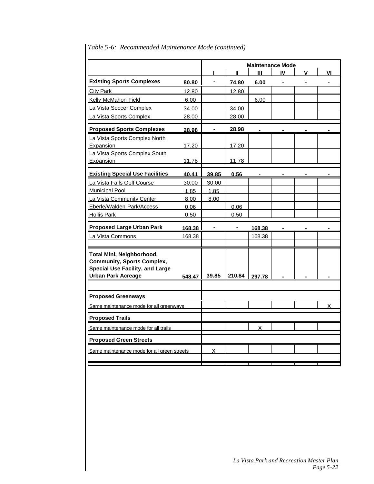|                                                                                                                                       |        | <b>Maintenance Mode</b><br>Ш<br>IV<br>Ш<br>۷ |        |        |  | ٧ı |   |
|---------------------------------------------------------------------------------------------------------------------------------------|--------|----------------------------------------------|--------|--------|--|----|---|
| <b>Existing Sports Complexes</b>                                                                                                      | 80.80  |                                              | 74.80  | 6.00   |  |    |   |
| <b>City Park</b>                                                                                                                      | 12.80  |                                              | 12.80  |        |  |    |   |
| Kelly McMahon Field                                                                                                                   | 6.00   |                                              |        | 6.00   |  |    |   |
| La Vista Soccer Complex                                                                                                               | 34.00  |                                              | 34.00  |        |  |    |   |
| La Vista Sports Complex                                                                                                               | 28.00  |                                              | 28.00  |        |  |    |   |
| <b>Proposed Sports Complexes</b>                                                                                                      | 28.98  |                                              | 28.98  |        |  |    |   |
| La Vista Sports Complex North<br>Expansion<br>La Vista Sports Complex South                                                           | 17.20  |                                              | 17.20  |        |  |    |   |
| Expansion                                                                                                                             | 11.78  |                                              | 11.78  |        |  |    |   |
| <b>Existing Special Use Facilities</b>                                                                                                | 40.41  | 39.85                                        | 0.56   |        |  |    |   |
| La Vista Falls Golf Course                                                                                                            | 30.00  | 30.00                                        |        |        |  |    |   |
| <b>Municipal Pool</b>                                                                                                                 | 1.85   | 1.85                                         |        |        |  |    |   |
| La Vista Community Center                                                                                                             | 8.00   | 8.00                                         |        |        |  |    |   |
| Eberle/Walden Park/Access                                                                                                             | 0.06   |                                              | 0.06   |        |  |    |   |
| <b>Hollis Park</b>                                                                                                                    | 0.50   |                                              | 0.50   |        |  |    |   |
| <b>Proposed Large Urban Park</b>                                                                                                      | 168.38 |                                              |        | 168.38 |  |    |   |
| La Vista Commons                                                                                                                      | 168.38 |                                              |        | 168.38 |  |    |   |
|                                                                                                                                       |        |                                              |        |        |  |    |   |
| Total Mini, Neighborhood,<br><b>Community, Sports Complex,</b><br><b>Special Use Facility, and Large</b><br><b>Urban Park Acreage</b> | 548.47 | 39.85                                        | 210.84 | 297.78 |  |    |   |
|                                                                                                                                       |        |                                              |        |        |  |    |   |
| <b>Proposed Greenways</b>                                                                                                             |        |                                              |        |        |  |    |   |
| Same maintenance mode for all greenways                                                                                               |        |                                              |        |        |  |    | x |
| <b>Proposed Trails</b>                                                                                                                |        |                                              |        |        |  |    |   |
| Same maintenance mode for all trails                                                                                                  |        |                                              |        | X      |  |    |   |
| <b>Proposed Green Streets</b>                                                                                                         |        |                                              |        |        |  |    |   |
| Same maintenance mode for all green streets                                                                                           |        | x                                            |        |        |  |    |   |
|                                                                                                                                       |        |                                              |        |        |  |    |   |

# *Table 5-6: Recommended Maintenance Mode (continued)*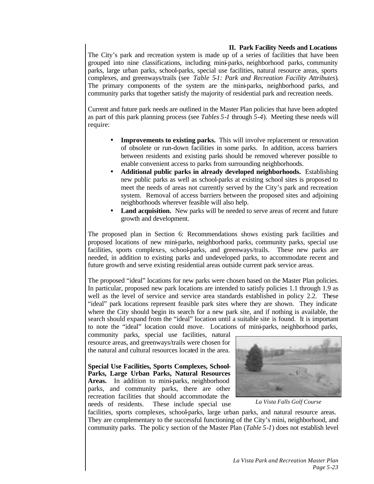### **II. Park Facility Needs and Locations**

The City's park and recreation system is made up of a series of facilities that have been grouped into nine classifications, including mini-parks, neighborhood parks, community parks, large urban parks, school-parks, special use facilities, natural resource areas, sports complexes, and greenways/trails (see *Table 5-1: Park and Recreation Facility Attributes*). The primary components of the system are the mini-parks, neighborhood parks, and community parks that together satisfy the majority of residential park and recreation needs.

Current and future park needs are outlined in the Master Plan policies that have been adopted as part of this park planning process (see *Tables 5-1* through *5-4*). Meeting these needs will require:

- **Improvements to existing parks.** This will involve replacement or renovation of obsolete or run-down facilities in some parks. In addition, access barriers between residents and existing parks should be removed wherever possible to enable convenient access to parks from surrounding neighborhoods.
- **Additional public parks in already developed neighborhoods.** Establishing new public parks as well as school-parks at existing school sites is proposed to meet the needs of areas not currently served by the City's park and recreation system. Removal of access barriers between the proposed sites and adjoining neighborhoods wherever feasible will also help.
- **Land acquisition.** New parks will be needed to serve areas of recent and future growth and development.

The proposed plan in Section 6: Recommendations shows existing park facilities and proposed locations of new mini-parks, neighborhood parks, community parks, special use facilities, sports complexes, school-parks, and greenways/trails. These new parks are needed, in addition to existing parks and undeveloped parks, to accommodate recent and future growth and serve existing residential areas outside current park service areas.

The proposed "ideal" locations for new parks were chosen based on the Master Plan policies. In particular, proposed new park locations are intended to satisfy policies 1.1 through 1.9 as well as the level of service and service area standards established in policy 2.2. These "ideal" park locations represent feasible park sites where they are shown. They indicate where the City should begin its search for a new park site, and if nothing is available, the search should expand from the "ideal" location until a suitable site is found. It is important to note the "ideal" location could move. Locations of mini-parks, neighborhood parks,

community parks, special use facilities, natural resource areas, and greenways/trails were chosen for the natural and cultural resources located in the area.

**Special Use Facilities, Sports Complexes, School-Parks, Large Urban Parks, Natural Resources** Areas. In addition to mini-parks, neighborhood parks, and community parks, there are other recreation facilities that should accommodate the needs of residents. These include special use



*La Vista Falls Golf Course*

facilities, sports complexes, school-parks, large urban parks, and natural resource areas. They are complementary to the successful functioning of the City's mini, neighborhood, and community parks. The policy section of the Master Plan (*Table 5-1*) does not establish level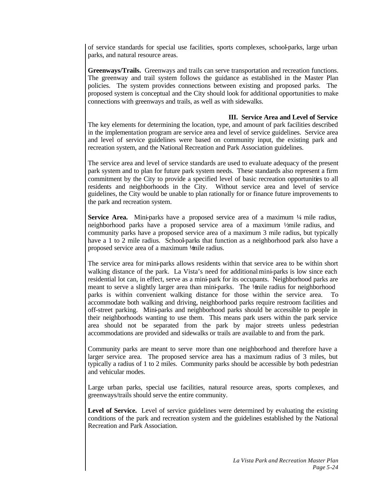of service standards for special use facilities, sports complexes, school-parks, large urban parks, and natural resource areas.

**Greenways/Trails.** Greenways and trails can serve transportation and recreation functions. The greenway and trail system follows the guidance as established in the Master Plan policies. The system provides connections between existing and proposed parks. The proposed system is conceptual and the City should look for additional opportunities to make connections with greenways and trails, as well as with sidewalks.

### **III. Service Area and Level of Service**

The key elements for determining the location, type, and amount of park facilities described in the implementation program are service area and level of service guidelines. Service area and level of service guidelines were based on community input, the existing park and recreation system, and the National Recreation and Park Association guidelines.

The service area and level of service standards are used to evaluate adequacy of the present park system and to plan for future park system needs. These standards also represent a firm commitment by the City to provide a specified level of basic recreation opportunities to all residents and neighborhoods in the City. Without service area and level of service guidelines, the City would be unable to plan rationally for or finance future improvements to the park and recreation system.

**Service Area.** Mini-parks have a proposed service area of a maximum  $\frac{1}{4}$  mile radius, neighborhood parks have a proposed service area of a maximum  $\frac{1}{2}$ mile radius, and community parks have a proposed service area of a maximum 3 mile radius, but typically have a 1 to 2 mile radius. School-parks that function as a neighborhood park also have a proposed service area of a maximum ½ mile radius.

The service area for mini-parks allows residents within that service area to be within short walking distance of the park. La Vista's need for additional mini-parks is low since each residential lot can, in effect, serve as a mini-park for its occupants. Neighborhood parks are meant to serve a slightly larger area than mini-parks. The ½ nile radius for neighborhood parks is within convenient walking distance for those within the service area. To accommodate both walking and driving, neighborhood parks require restroom facilities and off-street parking. Mini-parks and neighborhood parks should be accessible to people in their neighborhoods wanting to use them. This means park users within the park service area should not be separated from the park by major streets unless pedestrian accommodations are provided and sidewalks or trails are available to and from the park.

Community parks are meant to serve more than one neighborhood and therefore have a larger service area. The proposed service area has a maximum radius of 3 miles, but typically a radius of 1 to 2 miles. Community parks should be accessible by both pedestrian and vehicular modes.

Large urban parks, special use facilities, natural resource areas, sports complexes, and greenways/trails should serve the entire community.

Level of Service. Level of service guidelines were determined by evaluating the existing conditions of the park and recreation system and the guidelines established by the National Recreation and Park Association.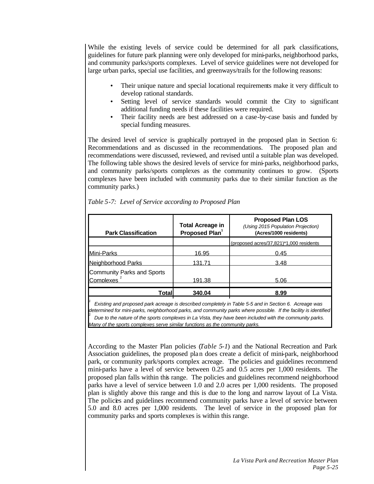While the existing levels of service could be determined for all park classifications, guidelines for future park planning were only developed for mini-parks, neighborhood parks, and community parks/sports complexes. Level of service guidelines were not developed for large urban parks, special use facilities, and greenways/trails for the following reasons:

- Their unique nature and special locational requirements make it very difficult to develop rational standards.
- Setting level of service standards would commit the City to significant additional funding needs if these facilities were required.
- Their facility needs are best addressed on a case-by-case basis and funded by special funding measures.

The desired level of service is graphically portrayed in the proposed plan in Section 6: Recommendations and as discussed in the recommendations. The proposed plan and recommendations were discussed, reviewed, and revised until a suitable plan was developed. The following table shows the desired levels of service for mini-parks, neighborhood parks, and community parks/sports complexes as the community continues to grow. (Sports complexes have been included with community parks due to their similar function as the community parks.)

| <b>Park Classification</b>              | <b>Total Acreage in</b><br>Proposed Plan <sup>1</sup> | <b>Proposed Plan LOS</b><br>(Using 2015 Population Projection)<br>(Acres/1000 residents) |
|-----------------------------------------|-------------------------------------------------------|------------------------------------------------------------------------------------------|
|                                         |                                                       | (proposed acres/37,821)*1,000 residents                                                  |
| Mini-Parks                              | 16.95                                                 | 0.45                                                                                     |
| Neighborhood Parks                      | 131.71                                                | 3.48                                                                                     |
| Community Parks and Sports<br>Complexes | 191.38                                                | 5.06                                                                                     |
| Totall                                  | 340.04                                                | 8.99                                                                                     |
| ___                                     |                                                       | .                                                                                        |

*Table 5-7: Level of Service according to Proposed Plan*

2

 *Existing and proposed park acreage is described completely in Table 5-5 and in Section 6. Acreage was determined for mini-parks, neighborhood parks, and community parks where possible. If the facility is identified Due to the nature of the sports complexes in La Vista, they have been included with the community parks. Many of the sports complexes serve similar functions as the community parks.*

According to the Master Plan policies (*Table 5-1*) and the National Recreation and Park Association guidelines, the proposed plan does create a deficit of mini-park, neighborhood park, or community park/sports complex acreage. The policies and guidelines recommend mini-parks have a level of service between 0.25 and 0.5 acres per 1,000 residents. The proposed plan falls within this range. The policies and guidelines recommend neighborhood parks have a level of service between 1.0 and 2.0 acres per 1,000 residents. The proposed plan is slightly above this range and this is due to the long and narrow layout of La Vista. The policies and guidelines recommend community parks have a level of service between 5.0 and 8.0 acres per 1,000 residents. The level of service in the proposed plan for community parks and sports complexes is within this range.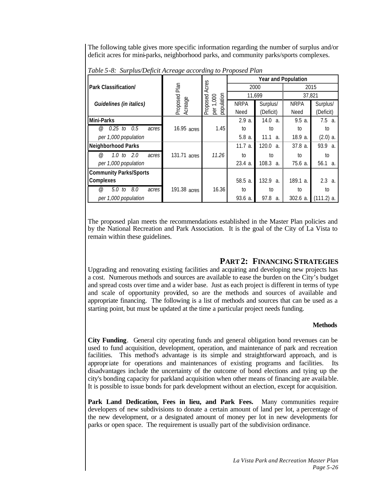The following table gives more specific information regarding the number of surplus and/or deficit acres for mini-parks, neighborhood parks, and community parks/sports complexes.

|                                         |                     |                        | <b>Year and Population</b> |                        |             |              |  |
|-----------------------------------------|---------------------|------------------------|----------------------------|------------------------|-------------|--------------|--|
| <b>Park Classification/</b>             | Plan                | Acres<br>2015<br>2000  |                            |                        |             |              |  |
|                                         |                     |                        | 11,699<br>000              |                        |             | 37,821       |  |
| Guidelines (in italics)                 | Proposed<br>Acreage | population<br>Proposed | <b>NRPA</b>                | Surplus/               | <b>NRPA</b> | Surplus/     |  |
|                                         |                     | per 1,                 | Need                       | (Deficit)              | Need        | (Deficit)    |  |
| Mini-Parks                              |                     |                        | 2.9a                       | 14.0<br>$\mathcal{A}$  | 9.5a        | 7.5 a.       |  |
| $0.25$ to<br>0.5<br>@)<br>acres         | 16.95 acres         | 1.45                   | to                         | to                     | to          | to           |  |
| per 1,000 population                    |                     |                        | $5.8a$ .                   | 11.1<br>а.             | 18.9 a.     | $(2.0)$ a.   |  |
| <b>Neighborhood Parks</b>               |                     |                        | $11.7a$ .                  | 120.0<br>$\mathcal{A}$ | 37.8 a.     | 93.9<br>a.   |  |
| 2.0<br>1.0 <sub>to</sub><br>@)<br>acres | 131.71 acres        | 11.26                  | to                         | to                     | to          | to           |  |
| per 1,000 population                    |                     |                        | $23.4a$ .                  | 108.3<br>a.            | 75.6 a.     | 56.1 a.      |  |
| <b>Community Parks/Sports</b>           |                     |                        |                            |                        |             |              |  |
| Complexes                               |                     |                        | $58.5a$ .                  | 132.9<br>$\partial$ .  | 189.1 a.    | 2.3 a.       |  |
| 8.0<br>5.0 to<br>@)<br>acres            | 191.38 acres        | 16.36                  | to                         | to                     | to          | to           |  |
| per 1,000 population                    |                     |                        | $93.6a$ .                  | 97.8<br>a.             | $302.6a$ .  | $(111.2)$ a. |  |

*Table 5-8: Surplus/Deficit Acreage according to Proposed Plan*

The proposed plan meets the recommendations established in the Master Plan policies and by the National Recreation and Park Association. It is the goal of the City of La Vista to remain within these guidelines.

# **PART 2: FINANCING STRATEGIES**

Upgrading and renovating existing facilities and acquiring and developing new projects has a cost. Numerous methods and sources are available to ease the burden on the City's budget and spread costs over time and a wider base. Just as each project is different in terms of type and scale of opportunity provided, so are the methods and sources of available and appropriate financing. The following is a list of methods and sources that can be used as a starting point, but must be updated at the time a particular project needs funding.

### **Methods**

**City Funding**. General city operating funds and general obligation bond revenues can be used to fund acquisition, development, operation, and maintenance of park and recreation facilities. This method's advantage is its simple and straightforward approach, and is appropriate for operations and maintenances of existing programs and facilities. Its disadvantages include the uncertainty of the outcome of bond elections and tying up the city's bonding capacity for parkland acquisition when other means of financing are available. It is possible to issue bonds for park development without an election, except for acquisition.

**Park Land Dedication, Fees in lieu, and Park Fees.** Many communities require developers of new subdivisions to donate a certain amount of land per lot, a percentage of the new development, or a designated amount of money per lot in new developments for parks or open space. The requirement is usually part of the subdivision ordinance.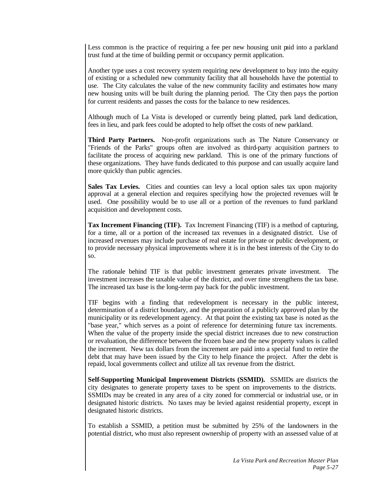Less common is the practice of requiring a fee per new housing unit paid into a parkland trust fund at the time of building permit or occupancy permit application.

Another type uses a cost recovery system requiring new development to buy into the equity of existing or a scheduled new community facility that all households have the potential to use. The City calculates the value of the new community facility and estimates how many new housing units will be built during the planning period. The City then pays the portion for current residents and passes the costs for the balance to new residences.

Although much of La Vista is developed or currently being platted, park land dedication, fees in lieu, and park fees could be adopted to help offset the costs of new parkland.

**Third Party Partners.** Non-profit organizations such as The Nature Conservancy or "Friends of the Parks" groups often are involved as third-party acquisition partners to facilitate the process of acquiring new parkland. This is one of the primary functions of these organizations. They have funds dedicated to this purpose and can usually acquire land more quickly than public agencies.

**Sales Tax Levies.** Cities and counties can levy a local option sales tax upon majority approval at a general election and requires specifying how the projected revenues will be used. One possibility would be to use all or a portion of the revenues to fund parkland acquisition and development costs.

**Tax Increment Financing (TIF).** Tax Increment Financing (TIF) is a method of capturing, for a time, all or a portion of the increased tax revenues in a designated district. Use of increased revenues may include purchase of real estate for private or public development, or to provide necessary physical improvements where it is in the best interests of the City to do so.

The rationale behind TIF is that public investment generates private investment. The investment increases the taxable value of the district, and over time strengthens the tax base. The increased tax base is the long-term pay back for the public investment.

TIF begins with a finding that redevelopment is necessary in the public interest, determination of a district boundary, and the preparation of a publicly approved plan by the municipality or its redevelopment agency. At that point the existing tax base is noted as the "base year," which serves as a point of reference for determining future tax increments. When the value of the property inside the special district increases due to new construction or revaluation, the difference between the frozen base and the new property values is called the increment. New tax dollars from the increment are paid into a special fund to retire the debt that may have been issued by the City to help finance the project. After the debt is repaid, local governments collect and utilize all tax revenue from the district.

**Self-Supporting Municipal Improvement Districts (SSMID).** SSMIDs are districts the city designates to generate property taxes to be spent on improvements to the districts. SSMIDs may be created in any area of a city zoned for commercial or industrial use, or in designated historic districts. No taxes may be levied against residential property, except in designated historic districts.

To establish a SSMID, a petition must be submitted by 25% of the landowners in the potential district, who must also represent ownership of property with an assessed value of at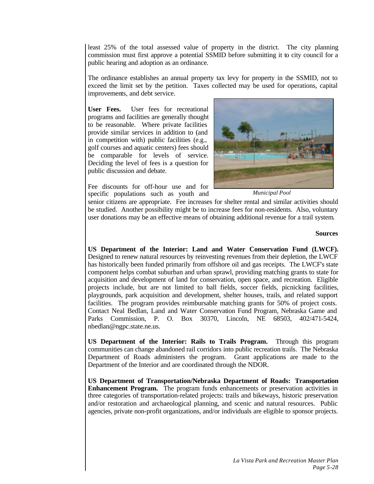least 25% of the total assessed value of property in the district. The city planning commission must first approve a potential SSMID before submitting it to city council for a public hearing and adoption as an ordinance.

The ordinance establishes an annual property tax levy for property in the SSMID, not to exceed the limit set by the petition. Taxes collected may be used for operations, capital improvements, and debt service.

**User Fees.** User fees for recreational programs and facilities are generally thought to be reasonable. Where private facilities provide similar services in addition to (and in competition with) public facilities (e.g., golf courses and aquatic centers) fees should be comparable for levels of service. Deciding the level of fees is a question for public discussion and debate.

Fee discounts for off-hour use and for specific populations such as youth and



*Municipal Pool*

senior citizens are appropriate. Fee increases for shelter rental and similar activities should be studied. Another possibility might be to increase fees for non-residents. Also, voluntary user donations may be an effective means of obtaining additional revenue for a trail system.

#### **Sources**

**US Department of the Interior: Land and Water Conservation Fund (LWCF).**  Designed to renew natural resources by reinvesting revenues from their depletion, the LWCF has historically been funded primarily from offshore oil and gas receipts. The LWCF's state component helps combat suburban and urban sprawl, providing matching grants to state for acquisition and development of land for conservation, open space, and recreation. Eligible projects include, but are not limited to ball fields, soccer fields, picnicking facilities, playgrounds, park acquisition and development, shelter houses, trails, and related support facilities. The program provides reimbursable matching grants for 50% of project costs. Contact Neal Bedlan, Land and Water Conservation Fund Program, Nebraska Game and Parks Commission, P. O. Box 30370, Lincoln, NE 68503, 402/471-5424, nbedlan@ngpc.state.ne.us.

**US Department of the Interior: Rails to Trails Program.** Through this program communities can change abandoned rail corridors into public recreation trails. The Nebraska Department of Roads administers the program. Grant applications are made to the Department of the Interior and are coordinated through the NDOR.

**US Department of Transportation/Nebraska Department of Roads: Transportation Enhancement Program.** The program funds enhancements or preservation activities in three categories of transportation-related projects: trails and bikeways, historic preservation and/or restoration and archaeological planning, and scenic and natural resources. Public agencies, private non-profit organizations, and/or individuals are eligible to sponsor projects.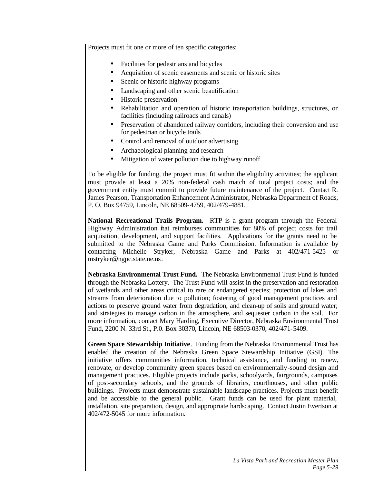Projects must fit one or more of ten specific categories:

- Facilities for pedestrians and bicycles
- Acquisition of scenic easements and scenic or historic sites
- Scenic or historic highway programs
- Landscaping and other scenic beautification
- Historic preservation
- Rehabilitation and operation of historic transportation buildings, structures, or facilities (including railroads and canals)
- Preservation of abandoned railway corridors, including their conversion and use for pedestrian or bicycle trails
- Control and removal of outdoor advertising
- Archaeological planning and research
- Mitigation of water pollution due to highway runoff

To be eligible for funding, the project must fit within the eligibility activities; the applicant must provide at least a 20% non-federal cash match of total project costs; and the government entity must commit to provide future maintenance of the project. Contact R. James Pearson, Transportation Enhancement Administrator, Nebraska Department of Roads, P. O. Box 94759, Lincoln, NE 68509-4759, 402/479-4881.

**National Recreational Trails Program.** RTP is a grant program through the Federal Highway Administration that reimburses communities for 80% of project costs for trail acquisition, development, and support facilities. Applications for the grants need to be submitted to the Nebraska Game and Parks Commission. Information is available by contacting Michelle Stryker, Nebraska Game and Parks at 402/471-5425 or mstryker@ngpc.state.ne.us.

**Nebraska Environmental Trust Fund.** The Nebraska Environmental Trust Fund is funded through the Nebraska Lottery. The Trust Fund will assist in the preservation and restoration of wetlands and other areas critical to rare or endangered species; protection of lakes and streams from deterioration due to pollution; fostering of good management practices and actions to preserve ground water from degradation, and clean-up of soils and ground water; and strategies to manage carbon in the atmosphere, and sequester carbon in the soil. For more information, contact Mary Harding, Executive Director, Nebraska Environmental Trust Fund, 2200 N. 33rd St., P.0. Box 30370, Lincoln, NE 68503-0370, 402/471-5409.

**Green Space Stewardship Initiative**. Funding from the Nebraska Environmental Trust has enabled the creation of the Nebraska Green Space Stewardship Initiative (GSI). The initiative offers communities information, technical assistance, and funding to renew, renovate, or develop community green spaces based on environmentally-sound design and management practices. Eligible projects include parks, schoolyards, fairgrounds, campuses of post-secondary schools, and the grounds of libraries, courthouses, and other public buildings. Projects must demonstrate sustainable landscape practices. Projects must benefit and be accessible to the general public. Grant funds can be used for plant material, installation, site preparation, design, and appropriate hardscaping. Contact Justin Evertson at 402/472-5045 for more information.